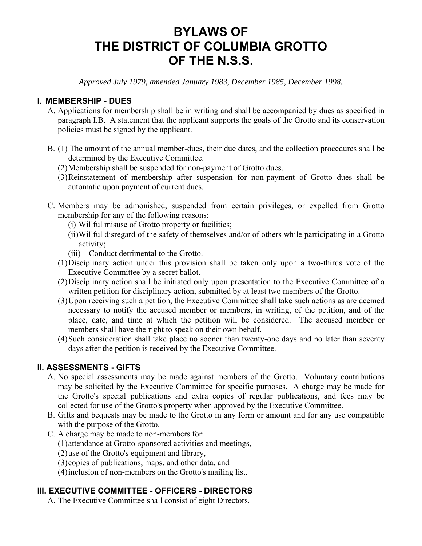# **BYLAWS OF THE DISTRICT OF COLUMBIA GROTTO OF THE N.S.S.**

*Approved July 1979, amended January 1983, December 1985, December 1998.* 

## **I. MEMBERSHIP - DUES**

- A. Applications for membership shall be in writing and shall be accompanied by dues as specified in paragraph I.B. A statement that the applicant supports the goals of the Grotto and its conservation policies must be signed by the applicant.
- B. (1) The amount of the annual member-dues, their due dates, and the collection procedures shall be determined by the Executive Committee.
	- (2) Membership shall be suspended for non-payment of Grotto dues.
	- (3) Reinstatement of membership after suspension for non-payment of Grotto dues shall be automatic upon payment of current dues.
- C. Members may be admonished, suspended from certain privileges, or expelled from Grotto membership for any of the following reasons:
	- (i) Willful misuse of Grotto property or facilities;
	- (ii) Willful disregard of the safety of themselves and/or of others while participating in a Grotto activity;
	- (iii) Conduct detrimental to the Grotto.
	- (1) Disciplinary action under this provision shall be taken only upon a two-thirds vote of the Executive Committee by a secret ballot.
	- (2) Disciplinary action shall be initiated only upon presentation to the Executive Committee of a written petition for disciplinary action, submitted by at least two members of the Grotto.
	- (3) Upon receiving such a petition, the Executive Committee shall take such actions as are deemed necessary to notify the accused member or members, in writing, of the petition, and of the place, date, and time at which the petition will be considered. The accused member or members shall have the right to speak on their own behalf.
	- (4) Such consideration shall take place no sooner than twenty-one days and no later than seventy days after the petition is received by the Executive Committee.

## **II. ASSESSMENTS - GIFTS**

- A. No special assessments may be made against members of the Grotto. Voluntary contributions may be solicited by the Executive Committee for specific purposes. A charge may be made for the Grotto's special publications and extra copies of regular publications, and fees may be collected for use of the Grotto's property when approved by the Executive Committee.
- B. Gifts and bequests may be made to the Grotto in any form or amount and for any use compatible with the purpose of the Grotto.
- C. A charge may be made to non-members for:
	- (1) attendance at Grotto-sponsored activities and meetings,
	- (2) use of the Grotto's equipment and library,
	- (3) copies of publications, maps, and other data, and
	- (4) inclusion of non-members on the Grotto's mailing list.

# **III. EXECUTIVE COMMITTEE - OFFICERS - DIRECTORS**

A. The Executive Committee shall consist of eight Directors.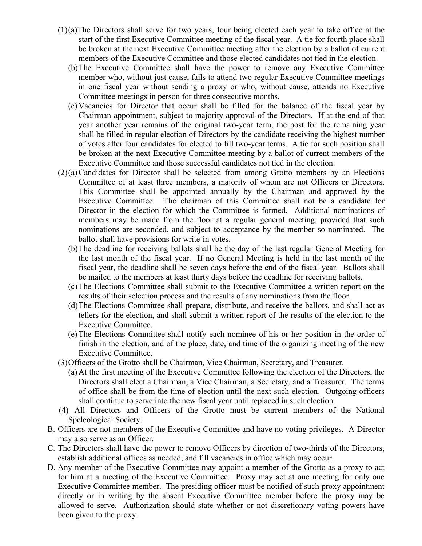- $(1)(a)$ The Directors shall serve for two years, four being elected each year to take office at the start of the first Executive Committee meeting of the fiscal year. A tie for fourth place shall be broken at the next Executive Committee meeting after the election by a ballot of current members of the Executive Committee and those elected candidates not tied in the election.
	- (b) The Executive Committee shall have the power to remove any Executive Committee member who, without just cause, fails to attend two regular Executive Committee meetings in one fiscal year without sending a proxy or who, without cause, attends no Executive Committee meetings in person for three consecutive months.
	- (c) Vacancies for Director that occur shall be filled for the balance of the fiscal year by Chairman appointment, subject to majority approval of the Directors. If at the end of that year another year remains of the original two-year term, the post for the remaining year shall be filled in regular election of Directors by the candidate receiving the highest number of votes after four candidates for elected to fill two-year terms. A tie for such position shall be broken at the next Executive Committee meeting by a ballot of current members of the Executive Committee and those successful candidates not tied in the election.
- $(2)(a)$  Candidates for Director shall be selected from among Grotto members by an Elections Committee of at least three members, a majority of whom are not Officers or Directors. This Committee shall be appointed annually by the Chairman and approved by the Executive Committee. The chairman of this Committee shall not be a candidate for Director in the election for which the Committee is formed. Additional nominations of members may be made from the floor at a regular general meeting, provided that such nominations are seconded, and subject to acceptance by the member so nominated. The ballot shall have provisions for write-in votes.
	- (b) The deadline for receiving ballots shall be the day of the last regular General Meeting for the last month of the fiscal year. If no General Meeting is held in the last month of the fiscal year, the deadline shall be seven days before the end of the fiscal year. Ballots shall be mailed to the members at least thirty days before the deadline for receiving ballots.
	- (c) The Elections Committee shall submit to the Executive Committee a written report on the results of their selection process and the results of any nominations from the floor.
	- (d) The Elections Committee shall prepare, distribute, and receive the ballots, and shall act as tellers for the election, and shall submit a written report of the results of the election to the Executive Committee.
	- (e) The Elections Committee shall notify each nominee of his or her position in the order of finish in the election, and of the place, date, and time of the organizing meeting of the new Executive Committee.
- (3) Officers of the Grotto shall be Chairman, Vice Chairman, Secretary, and Treasurer.
	- (a) At the first meeting of the Executive Committee following the election of the Directors, the Directors shall elect a Chairman, a Vice Chairman, a Secretary, and a Treasurer. The terms of office shall be from the time of election until the next such election. Outgoing officers shall continue to serve into the new fiscal year until replaced in such election.
- (4) All Directors and Officers of the Grotto must be current members of the National Speleological Society.
- B. Officers are not members of the Executive Committee and have no voting privileges. A Director may also serve as an Officer.
- C. The Directors shall have the power to remove Officers by direction of two-thirds of the Directors, establish additional offices as needed, and fill vacancies in office which may occur.
- D. Any member of the Executive Committee may appoint a member of the Grotto as a proxy to act for him at a meeting of the Executive Committee. Proxy may act at one meeting for only one Executive Committee member. The presiding officer must be notified of such proxy appointment directly or in writing by the absent Executive Committee member before the proxy may be allowed to serve. Authorization should state whether or not discretionary voting powers have been given to the proxy.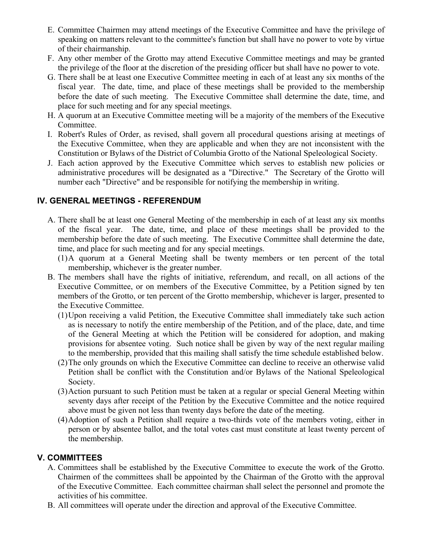- E. Committee Chairmen may attend meetings of the Executive Committee and have the privilege of speaking on matters relevant to the committee's function but shall have no power to vote by virtue of their chairmanship.
- F. Any other member of the Grotto may attend Executive Committee meetings and may be granted the privilege of the floor at the discretion of the presiding officer but shall have no power to vote.
- G. There shall be at least one Executive Committee meeting in each of at least any six months of the fiscal year. The date, time, and place of these meetings shall be provided to the membership before the date of such meeting. The Executive Committee shall determine the date, time, and place for such meeting and for any special meetings.
- H. A quorum at an Executive Committee meeting will be a majority of the members of the Executive Committee.
- I. Robert's Rules of Order, as revised, shall govern all procedural questions arising at meetings of the Executive Committee, when they are applicable and when they are not inconsistent with the Constitution or Bylaws of the District of Columbia Grotto of the National Speleological Society.
- J. Each action approved by the Executive Committee which serves to establish new policies or administrative procedures will be designated as a "Directive." The Secretary of the Grotto will number each "Directive" and be responsible for notifying the membership in writing.

# **IV. GENERAL MEETINGS - REFERENDUM**

- A. There shall be at least one General Meeting of the membership in each of at least any six months of the fiscal year. The date, time, and place of these meetings shall be provided to the membership before the date of such meeting. The Executive Committee shall determine the date, time, and place for such meeting and for any special meetings.
	- (1) A quorum at a General Meeting shall be twenty members or ten percent of the total membership, whichever is the greater number.
- B. The members shall have the rights of initiative, referendum, and recall, on all actions of the Executive Committee, or on members of the Executive Committee, by a Petition signed by ten members of the Grotto, or ten percent of the Grotto membership, whichever is larger, presented to the Executive Committee.
	- (1) Upon receiving a valid Petition, the Executive Committee shall immediately take such action as is necessary to notify the entire membership of the Petition, and of the place, date, and time of the General Meeting at which the Petition will be considered for adoption, and making provisions for absentee voting. Such notice shall be given by way of the next regular mailing to the membership, provided that this mailing shall satisfy the time schedule established below.
	- (2) The only grounds on which the Executive Committee can decline to receive an otherwise valid Petition shall be conflict with the Constitution and/or Bylaws of the National Speleological Society.
	- (3) Action pursuant to such Petition must be taken at a regular or special General Meeting within seventy days after receipt of the Petition by the Executive Committee and the notice required above must be given not less than twenty days before the date of the meeting.
	- (4) Adoption of such a Petition shall require a two-thirds vote of the members voting, either in person or by absentee ballot, and the total votes cast must constitute at least twenty percent of the membership.

# **V. COMMITTEES**

- A. Committees shall be established by the Executive Committee to execute the work of the Grotto. Chairmen of the committees shall be appointed by the Chairman of the Grotto with the approval of the Executive Committee. Each committee chairman shall select the personnel and promote the activities of his committee.
- B. All committees will operate under the direction and approval of the Executive Committee.